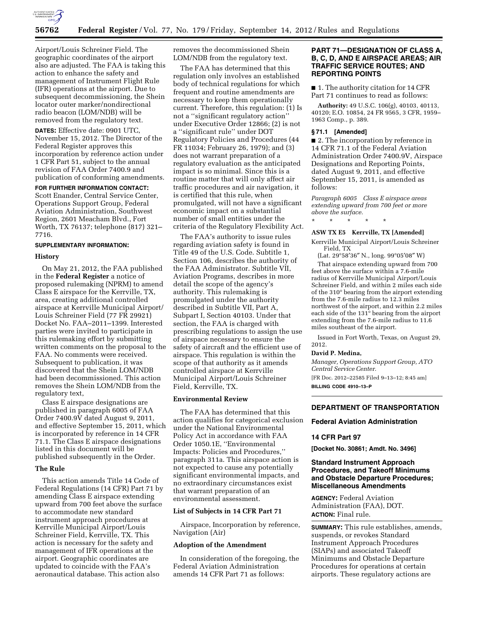

Airport/Louis Schreiner Field. The geographic coordinates of the airport also are adjusted. The FAA is taking this action to enhance the safety and management of Instrument Flight Rule (IFR) operations at the airport. Due to subsequent decommissioning, the Shein locator outer marker/nondirectional radio beacon (LOM/NDB) will be removed from the regulatory text.

**DATES:** Effective date: 0901 UTC, November 15, 2012. The Director of the Federal Register approves this incorporation by reference action under 1 CFR Part 51, subject to the annual revision of FAA Order 7400.9 and publication of conforming amendments.

# **FOR FURTHER INFORMATION CONTACT:**

Scott Enander, Central Service Center, Operations Support Group, Federal Aviation Administration, Southwest Region, 2601 Meacham Blvd., Fort Worth, TX 76137; telephone (817) 321– 7716.

# **SUPPLEMENTARY INFORMATION:**

#### **History**

On May 21, 2012, the FAA published in the **Federal Register** a notice of proposed rulemaking (NPRM) to amend Class E airspace for the Kerrville, TX, area, creating additional controlled airspace at Kerrville Municipal Airport/ Louis Schreiner Field (77 FR 29921) Docket No. FAA–2011–1399. Interested parties were invited to participate in this rulemaking effort by submitting written comments on the proposal to the FAA. No comments were received. Subsequent to publication, it was discovered that the Shein LOM/NDB had been decommissioned. This action removes the Shein LOM/NDB from the regulatory text,

Class E airspace designations are published in paragraph 6005 of FAA Order 7400.9V dated August 9, 2011, and effective September 15, 2011, which is incorporated by reference in 14 CFR 71.1. The Class E airspace designations listed in this document will be published subsequently in the Order.

#### **The Rule**

This action amends Title 14 Code of Federal Regulations (14 CFR) Part 71 by amending Class E airspace extending upward from 700 feet above the surface to accommodate new standard instrument approach procedures at Kerrville Municipal Airport/Louis Schreiner Field, Kerrville, TX. This action is necessary for the safety and management of IFR operations at the airport. Geographic coordinates are updated to coincide with the FAA's aeronautical database. This action also

removes the decommissioned Shein LOM/NDB from the regulatory text.

The FAA has determined that this regulation only involves an established body of technical regulations for which frequent and routine amendments are necessary to keep them operationally current. Therefore, this regulation: (1) Is not a ''significant regulatory action'' under Executive Order 12866; (2) is not a ''significant rule'' under DOT Regulatory Policies and Procedures (44 FR 11034; February 26, 1979); and (3) does not warrant preparation of a regulatory evaluation as the anticipated impact is so minimal. Since this is a routine matter that will only affect air traffic procedures and air navigation, it is certified that this rule, when promulgated, will not have a significant economic impact on a substantial number of small entities under the criteria of the Regulatory Flexibility Act.

The FAA's authority to issue rules regarding aviation safety is found in Title 49 of the U.S. Code. Subtitle 1, Section 106, describes the authority of the FAA Administrator. Subtitle VII, Aviation Programs, describes in more detail the scope of the agency's authority. This rulemaking is promulgated under the authority described in Subtitle VII, Part A, Subpart I, Section 40103. Under that section, the FAA is charged with prescribing regulations to assign the use of airspace necessary to ensure the safety of aircraft and the efficient use of airspace. This regulation is within the scope of that authority as it amends controlled airspace at Kerrville Municipal Airport/Louis Schreiner Field, Kerrville, TX.

# **Environmental Review**

The FAA has determined that this action qualifies for categorical exclusion under the National Environmental Policy Act in accordance with FAA Order 1050.1E, ''Environmental Impacts: Policies and Procedures,'' paragraph 311a. This airspace action is not expected to cause any potentially significant environmental impacts, and no extraordinary circumstances exist that warrant preparation of an environmental assessment.

#### **List of Subjects in 14 CFR Part 71**

Airspace, Incorporation by reference, Navigation (Air)

### **Adoption of the Amendment**

In consideration of the foregoing, the Federal Aviation Administration amends 14 CFR Part 71 as follows:

# **PART 71—DESIGNATION OF CLASS A, B, C, D, AND E AIRSPACE AREAS; AIR TRAFFIC SERVICE ROUTES; AND REPORTING POINTS**

■ 1. The authority citation for 14 CFR Part 71 continues to read as follows:

**Authority:** 49 U.S.C. 106(g), 40103, 40113, 40120; E.O. 10854, 24 FR 9565, 3 CFR, 1959– 1963 Comp., p. 389.

# **§ 71.1 [Amended]**

■ 2. The incorporation by reference in 14 CFR 71.1 of the Federal Aviation Administration Order 7400.9V, Airspace Designations and Reporting Points, dated August 9, 2011, and effective September 15, 2011, is amended as follows:

*Paragraph 6005 Class E airspace areas extending upward from 700 feet or more above the surface.* 

### **ASW TX E5 Kerrville, TX [Amended]**

\* \* \* \* \*

Kerrville Municipal Airport/Louis Schreiner Field, TX

(Lat. 29°58′36″ N., long. 99°05′08″ W) That airspace extending upward from 700 feet above the surface within a 7.6-mile radius of Kerrville Municipal Airport/Louis Schreiner Field, and within 2 miles each side of the 310° bearing from the airport extending from the 7.6-mile radius to 12.3 miles northwest of the airport, and within 2.2 miles each side of the 131° bearing from the airport extending from the 7.6-mile radius to 11.6 miles southeast of the airport.

Issued in Fort Worth, Texas, on August 29, 2012.

#### **David P. Medina,**

*Manager, Operations Support Group, ATO Central Service Center.* 

[FR Doc. 2012–22585 Filed 9–13–12; 8:45 am] **BILLING CODE 4910–13–P** 

# **DEPARTMENT OF TRANSPORTATION**

### **Federal Aviation Administration**

# **14 CFR Part 97**

**[Docket No. 30861; Amdt. No. 3496]** 

# **Standard Instrument Approach Procedures, and Takeoff Minimums and Obstacle Departure Procedures; Miscellaneous Amendments**

**AGENCY:** Federal Aviation Administration (FAA), DOT. **ACTION:** Final rule.

**SUMMARY:** This rule establishes, amends, suspends, or revokes Standard Instrument Approach Procedures (SIAPs) and associated Takeoff Minimums and Obstacle Departure Procedures for operations at certain airports. These regulatory actions are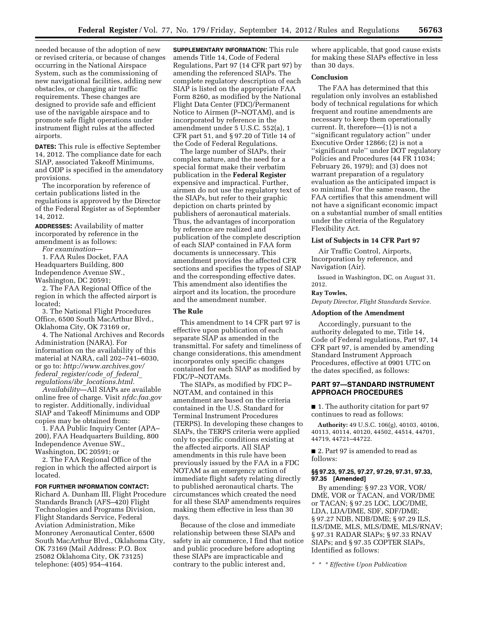needed because of the adoption of new or revised criteria, or because of changes occurring in the National Airspace System, such as the commissioning of new navigational facilities, adding new obstacles, or changing air traffic requirements. These changes are designed to provide safe and efficient use of the navigable airspace and to promote safe flight operations under instrument flight rules at the affected airports.

**DATES:** This rule is effective September 14, 2012. The compliance date for each SIAP, associated Takeoff Minimums, and ODP is specified in the amendatory provisions.

The incorporation by reference of certain publications listed in the regulations is approved by the Director of the Federal Register as of September 14, 2012.

**ADDRESSES:** Availability of matter incorporated by reference in the amendment is as follows:

*For examination*—

1. FAA Rules Docket, FAA Headquarters Building, 800 Independence Avenue SW., Washington, DC 20591;

2. The FAA Regional Office of the region in which the affected airport is located;

3. The National Flight Procedures Office, 6500 South MacArthur Blvd., Oklahoma City, OK 73169 or,

4. The National Archives and Records Administration (NARA). For information on the availability of this material at NARA, call 202–741–6030, or go to: *[http://www.archives.gov/](http://www.archives.gov/federal_register/code_of_federal_regulations/ibr_locations.html) federal*\_*[register/code](http://www.archives.gov/federal_register/code_of_federal_regulations/ibr_locations.html)*\_*of*\_*federal*\_ *regulations/ibr*\_*[locations.html.](http://www.archives.gov/federal_register/code_of_federal_regulations/ibr_locations.html)* 

*Availability*—All SIAPs are available online free of charge. Visit *nfdc.faa.gov*  to register. Additionally, individual SIAP and Takeoff Minimums and ODP copies may be obtained from:

1. FAA Public Inquiry Center (APA– 200), FAA Headquarters Building, 800 Independence Avenue SW., Washington, DC 20591; or

2. The FAA Regional Office of the region in which the affected airport is located.

#### **FOR FURTHER INFORMATION CONTACT:**

Richard A. Dunham III, Flight Procedure Standards Branch (AFS–420) Flight Technologies and Programs Division, Flight Standards Service, Federal Aviation Administration, Mike Monroney Aeronautical Center, 6500 South MacArthur Blvd., Oklahoma City, OK 73169 (Mail Address: P.O. Box 25082 Oklahoma City, OK 73125) telephone: (405) 954–4164.

**SUPPLEMENTARY INFORMATION:** This rule amends Title 14, Code of Federal Regulations, Part 97 (14 CFR part 97) by amending the referenced SIAPs. The complete regulatory description of each SIAP is listed on the appropriate FAA Form 8260, as modified by the National Flight Data Center (FDC)/Permanent Notice to Airmen (P–NOTAM), and is incorporated by reference in the amendment under 5 U.S.C. 552(a), 1 CFR part 51, and § 97.20 of Title 14 of the Code of Federal Regulations.

The large number of SIAPs, their complex nature, and the need for a special format make their verbatim publication in the **Federal Register**  expensive and impractical. Further, airmen do not use the regulatory text of the SIAPs, but refer to their graphic depiction on charts printed by publishers of aeronautical materials. Thus, the advantages of incorporation by reference are realized and publication of the complete description of each SIAP contained in FAA form documents is unnecessary. This amendment provides the affected CFR sections and specifies the types of SIAP and the corresponding effective dates. This amendment also identifies the airport and its location, the procedure and the amendment number.

#### **The Rule**

This amendment to 14 CFR part 97 is effective upon publication of each separate SIAP as amended in the transmittal. For safety and timeliness of change considerations, this amendment incorporates only specific changes contained for each SIAP as modified by FDC/P–NOTAMs.

The SIAPs, as modified by FDC P– NOTAM, and contained in this amendment are based on the criteria contained in the U.S. Standard for Terminal Instrument Procedures (TERPS). In developing these changes to SIAPs, the TERPS criteria were applied only to specific conditions existing at the affected airports. All SIAP amendments in this rule have been previously issued by the FAA in a FDC NOTAM as an emergency action of immediate flight safety relating directly to published aeronautical charts. The circumstances which created the need for all these SIAP amendments requires making them effective in less than 30 days.

Because of the close and immediate relationship between these SIAPs and safety in air commerce, I find that notice and public procedure before adopting these SIAPs are impracticable and contrary to the public interest and,

where applicable, that good cause exists for making these SIAPs effective in less than 30 days.

# **Conclusion**

The FAA has determined that this regulation only involves an established body of technical regulations for which frequent and routine amendments are necessary to keep them operationally current. It, therefore—(1) is not a ''significant regulatory action'' under Executive Order 12866; (2) is not a ''significant rule'' under DOT regulatory Policies and Procedures (44 FR 11034; February 26, 1979); and (3) does not warrant preparation of a regulatory evaluation as the anticipated impact is so minimal. For the same reason, the FAA certifies that this amendment will not have a significant economic impact on a substantial number of small entities under the criteria of the Regulatory Flexibility Act.

# **List of Subjects in 14 CFR Part 97**

Air Traffic Control, Airports, Incorporation by reference, and Navigation (Air).

Issued in Washington, DC, on August 31, 2012.

#### **Ray Towles,**

*Deputy Director, Flight Standards Service.* 

# **Adoption of the Amendment**

Accordingly, pursuant to the authority delegated to me, Title 14, Code of Federal regulations, Part 97, 14 CFR part 97, is amended by amending Standard Instrument Approach Procedures, effective at 0901 UTC on the dates specified, as follows:

# **PART 97—STANDARD INSTRUMENT APPROACH PROCEDURES**

■ 1. The authority citation for part 97 continues to read as follows:

**Authority:** 49 U.S.C. 106(g), 40103, 40106, 40113, 40114, 40120, 44502, 44514, 44701, 44719, 44721–44722.

■ 2. Part 97 is amended to read as follows:

## **§§ 97.23, 97.25, 97.27, 97.29, 97.31, 97.33, 97.35 [Amended]**

By amending: § 97.23 VOR, VOR/ DME, VOR or TACAN, and VOR/DME or TACAN; § 97.25 LOC, LOC/DME, LDA, LDA/DME, SDF, SDF/DME; § 97.27 NDB, NDB/DME; § 97.29 ILS, ILS/DME, MLS, MLS/DME, MLS/RNAV; § 97.31 RADAR SIAPs; § 97.33 RNAV SIAPs; and § 97.35 COPTER SIAPs, Identified as follows:

*\* \* \* Effective Upon Publication*